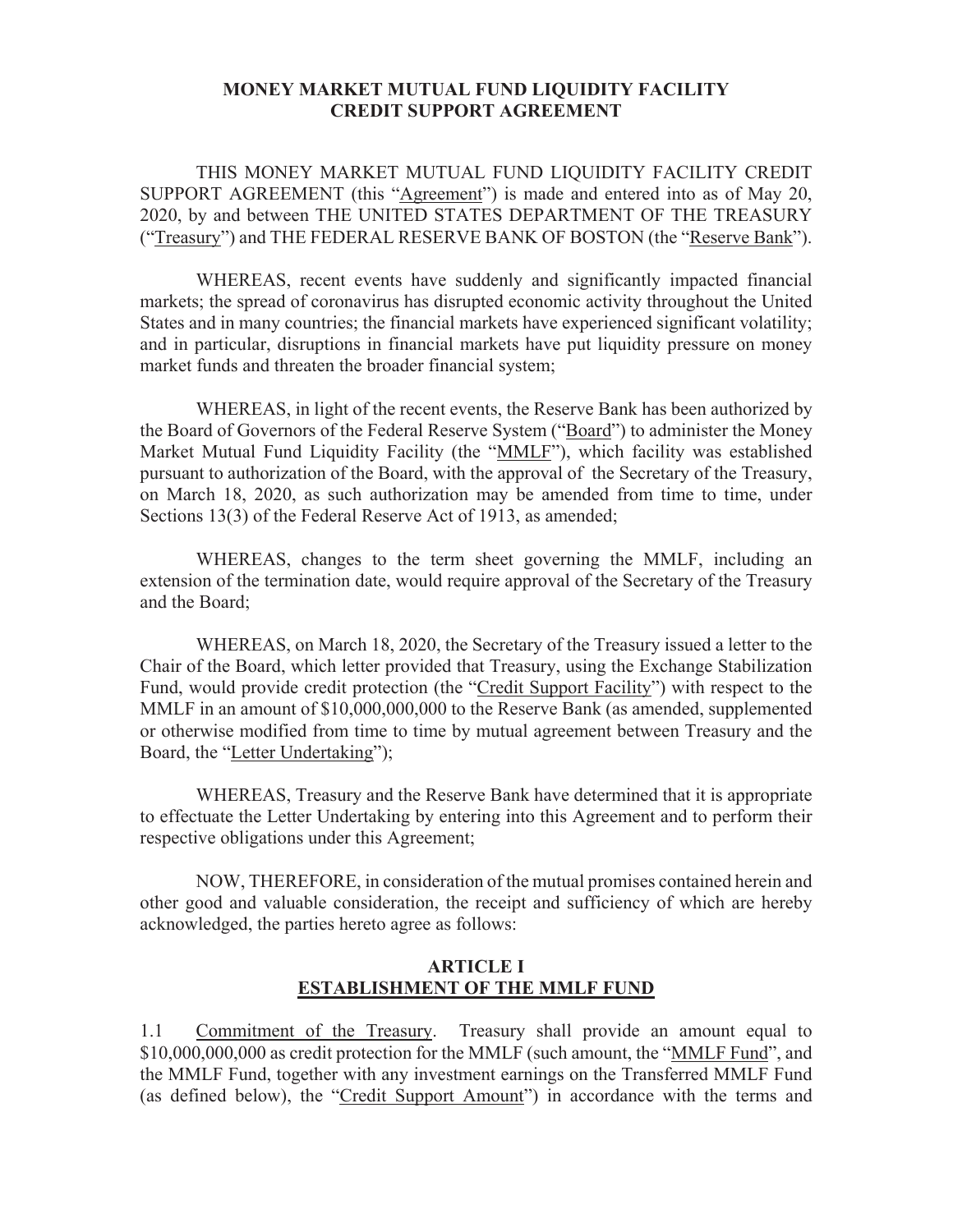#### **MONEY MARKET MUTUAL FUND LIQUIDITY FACILITY CREDIT SUPPORT AGREEMENT**

THIS MONEY MARKET MUTUAL FUND LIQUIDITY FACILITY CREDIT SUPPORT AGREEMENT (this "Agreement") is made and entered into as of May 20, 2020, by and between THE UNITED STATES DEPARTMENT OF THE TREASURY ("Treasury") and THE FEDERAL RESERVE BANK OF BOSTON (the "Reserve Bank").

WHEREAS, recent events have suddenly and significantly impacted financial markets; the spread of coronavirus has disrupted economic activity throughout the United States and in many countries; the financial markets have experienced significant volatility; and in particular, disruptions in financial markets have put liquidity pressure on money market funds and threaten the broader financial system;

WHEREAS, in light of the recent events, the Reserve Bank has been authorized by the Board of Governors of the Federal Reserve System ("Board") to administer the Money Market Mutual Fund Liquidity Facility (the "MMLF"), which facility was established pursuant to authorization of the Board, with the approval of the Secretary of the Treasury, on March 18, 2020, as such authorization may be amended from time to time, under Sections 13(3) of the Federal Reserve Act of 1913, as amended;

WHEREAS, changes to the term sheet governing the MMLF, including an extension of the termination date, would require approval of the Secretary of the Treasury and the Board;

WHEREAS, on March 18, 2020, the Secretary of the Treasury issued a letter to the Chair of the Board, which letter provided that Treasury, using the Exchange Stabilization Fund, would provide credit protection (the "Credit Support Facility") with respect to the MMLF in an amount of \$10,000,000,000 to the Reserve Bank (as amended, supplemented or otherwise modified from time to time by mutual agreement between Treasury and the Board, the "Letter Undertaking");

WHEREAS, Treasury and the Reserve Bank have determined that it is appropriate to effectuate the Letter Undertaking by entering into this Agreement and to perform their respective obligations under this Agreement;

NOW, THEREFORE, in consideration of the mutual promises contained herein and other good and valuable consideration, the receipt and sufficiency of which are hereby acknowledged, the parties hereto agree as follows:

#### **ARTICLE I ESTABLISHMENT OF THE MMLF FUND**

1.1 Commitment of the Treasury. Treasury shall provide an amount equal to \$10,000,000,000 as credit protection for the MMLF (such amount, the "MMLF Fund", and the MMLF Fund, together with any investment earnings on the Transferred MMLF Fund (as defined below), the "Credit Support Amount") in accordance with the terms and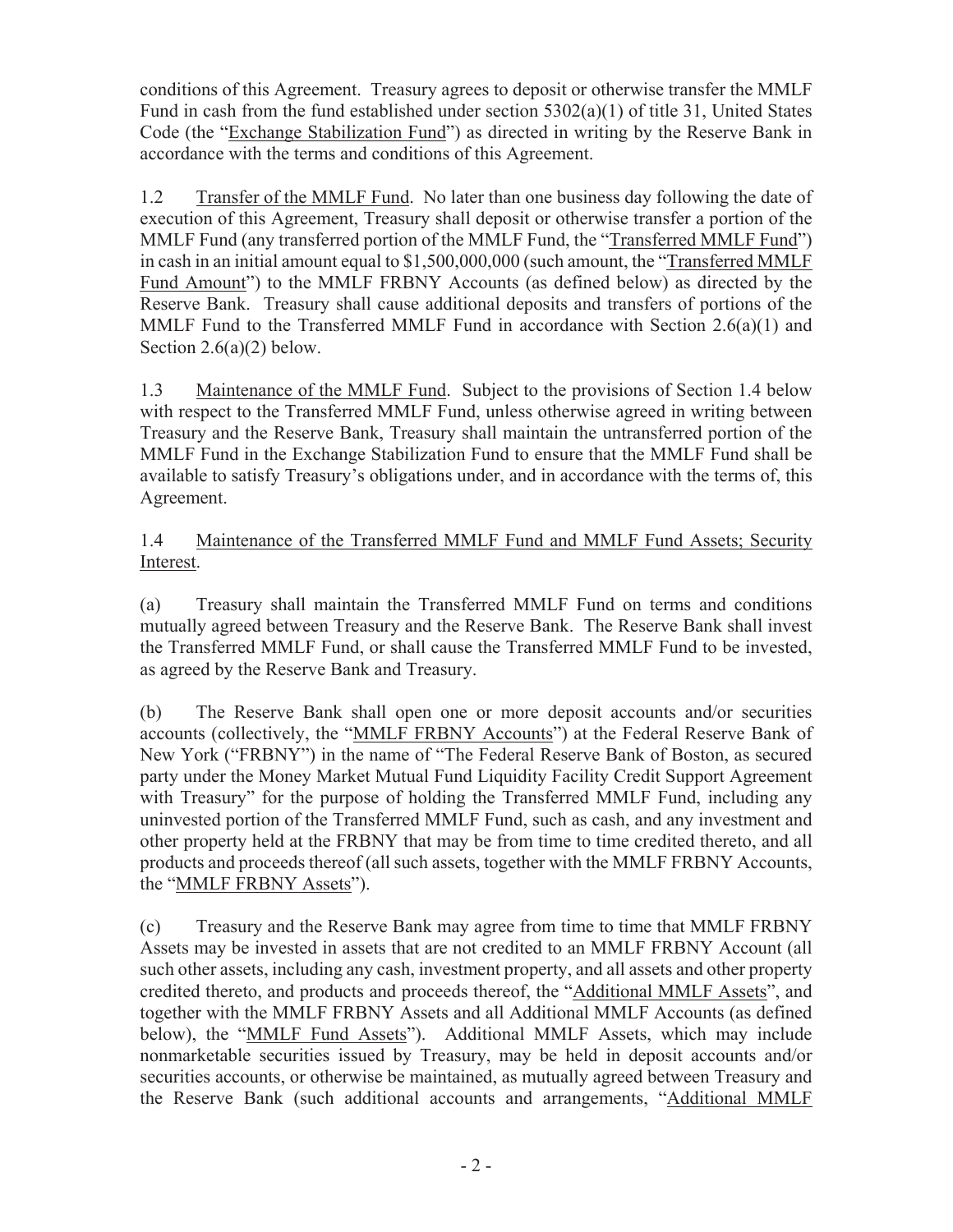conditions of this Agreement. Treasury agrees to deposit or otherwise transfer the MMLF Fund in cash from the fund established under section 5302(a)(1) of title 31, United States Code (the "Exchange Stabilization Fund") as directed in writing by the Reserve Bank in accordance with the terms and conditions of this Agreement.

1.2 Transfer of the MMLF Fund. No later than one business day following the date of execution of this Agreement, Treasury shall deposit or otherwise transfer a portion of the MMLF Fund (any transferred portion of the MMLF Fund, the "Transferred MMLF Fund") in cash in an initial amount equal to \$1,500,000,000 (such amount, the "Transferred MMLF Fund Amount") to the MMLF FRBNY Accounts (as defined below) as directed by the Reserve Bank. Treasury shall cause additional deposits and transfers of portions of the MMLF Fund to the Transferred MMLF Fund in accordance with Section 2.6(a)(1) and Section  $2.6(a)(2)$  below.

1.3 Maintenance of the MMLF Fund. Subject to the provisions of Section 1.4 below with respect to the Transferred MMLF Fund, unless otherwise agreed in writing between Treasury and the Reserve Bank, Treasury shall maintain the untransferred portion of the MMLF Fund in the Exchange Stabilization Fund to ensure that the MMLF Fund shall be available to satisfy Treasury's obligations under, and in accordance with the terms of, this Agreement.

1.4 Maintenance of the Transferred MMLF Fund and MMLF Fund Assets; Security Interest.

(a) Treasury shall maintain the Transferred MMLF Fund on terms and conditions mutually agreed between Treasury and the Reserve Bank. The Reserve Bank shall invest the Transferred MMLF Fund, or shall cause the Transferred MMLF Fund to be invested, as agreed by the Reserve Bank and Treasury.

(b) The Reserve Bank shall open one or more deposit accounts and/or securities accounts (collectively, the "MMLF FRBNY Accounts") at the Federal Reserve Bank of New York ("FRBNY") in the name of "The Federal Reserve Bank of Boston, as secured party under the Money Market Mutual Fund Liquidity Facility Credit Support Agreement with Treasury" for the purpose of holding the Transferred MMLF Fund, including any uninvested portion of the Transferred MMLF Fund, such as cash, and any investment and other property held at the FRBNY that may be from time to time credited thereto, and all products and proceeds thereof (all such assets, together with the MMLF FRBNY Accounts, the "MMLF FRBNY Assets").

(c) Treasury and the Reserve Bank may agree from time to time that MMLF FRBNY Assets may be invested in assets that are not credited to an MMLF FRBNY Account (all such other assets, including any cash, investment property, and all assets and other property credited thereto, and products and proceeds thereof, the "Additional MMLF Assets", and together with the MMLF FRBNY Assets and all Additional MMLF Accounts (as defined below), the "MMLF Fund Assets"). Additional MMLF Assets, which may include nonmarketable securities issued by Treasury, may be held in deposit accounts and/or securities accounts, or otherwise be maintained, as mutually agreed between Treasury and the Reserve Bank (such additional accounts and arrangements, "Additional MMLF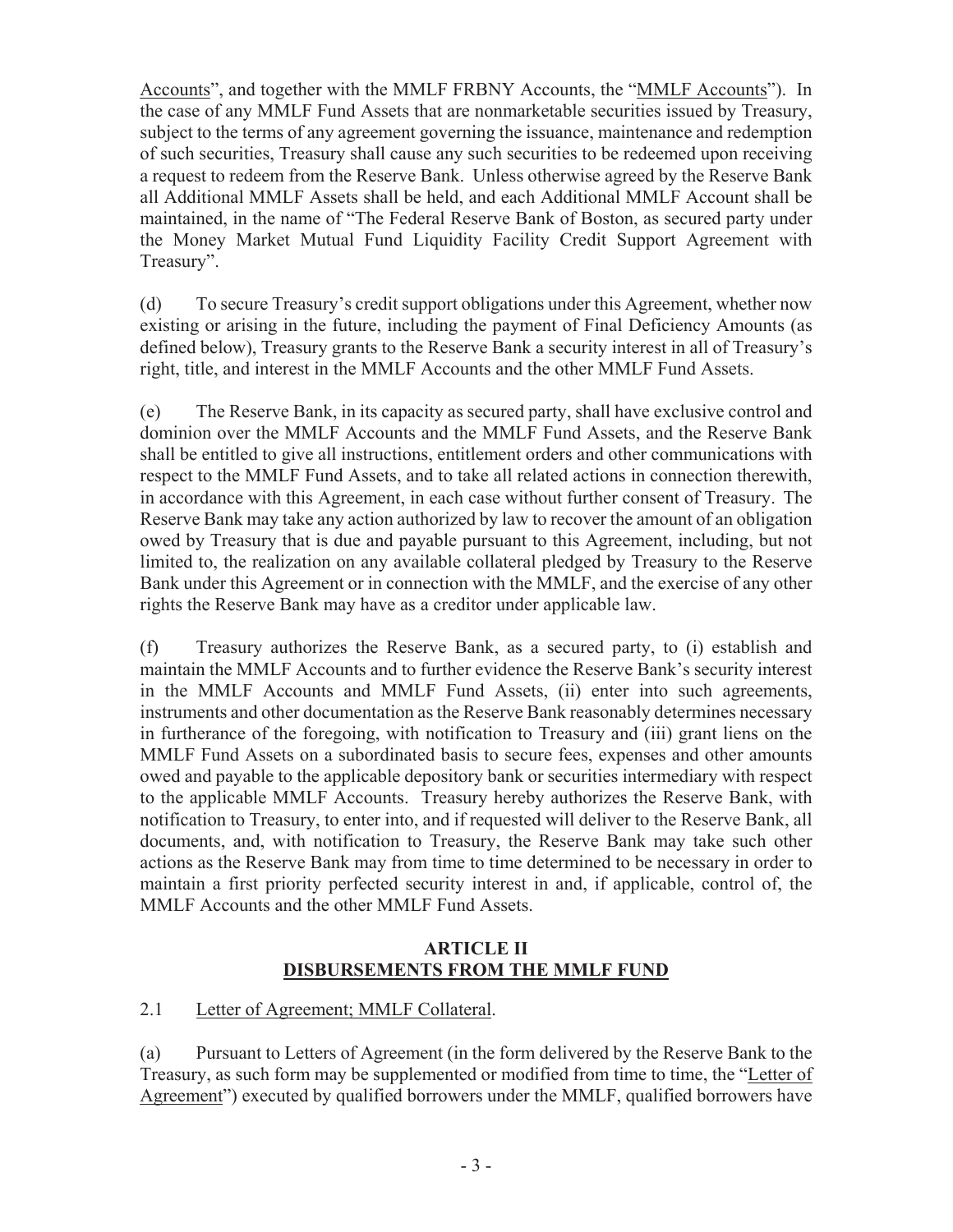Accounts", and together with the MMLF FRBNY Accounts, the "MMLF Accounts"). In the case of any MMLF Fund Assets that are nonmarketable securities issued by Treasury, subject to the terms of any agreement governing the issuance, maintenance and redemption of such securities, Treasury shall cause any such securities to be redeemed upon receiving a request to redeem from the Reserve Bank. Unless otherwise agreed by the Reserve Bank all Additional MMLF Assets shall be held, and each Additional MMLF Account shall be maintained, in the name of "The Federal Reserve Bank of Boston, as secured party under the Money Market Mutual Fund Liquidity Facility Credit Support Agreement with Treasury".

(d) To secure Treasury's credit support obligations under this Agreement, whether now existing or arising in the future, including the payment of Final Deficiency Amounts (as defined below), Treasury grants to the Reserve Bank a security interest in all of Treasury's right, title, and interest in the MMLF Accounts and the other MMLF Fund Assets.

(e) The Reserve Bank, in its capacity as secured party, shall have exclusive control and dominion over the MMLF Accounts and the MMLF Fund Assets, and the Reserve Bank shall be entitled to give all instructions, entitlement orders and other communications with respect to the MMLF Fund Assets, and to take all related actions in connection therewith, in accordance with this Agreement, in each case without further consent of Treasury. The Reserve Bank may take any action authorized by law to recover the amount of an obligation owed by Treasury that is due and payable pursuant to this Agreement, including, but not limited to, the realization on any available collateral pledged by Treasury to the Reserve Bank under this Agreement or in connection with the MMLF, and the exercise of any other rights the Reserve Bank may have as a creditor under applicable law.

(f) Treasury authorizes the Reserve Bank, as a secured party, to (i) establish and maintain the MMLF Accounts and to further evidence the Reserve Bank's security interest in the MMLF Accounts and MMLF Fund Assets, (ii) enter into such agreements, instruments and other documentation as the Reserve Bank reasonably determines necessary in furtherance of the foregoing, with notification to Treasury and (iii) grant liens on the MMLF Fund Assets on a subordinated basis to secure fees, expenses and other amounts owed and payable to the applicable depository bank or securities intermediary with respect to the applicable MMLF Accounts. Treasury hereby authorizes the Reserve Bank, with notification to Treasury, to enter into, and if requested will deliver to the Reserve Bank, all documents, and, with notification to Treasury, the Reserve Bank may take such other actions as the Reserve Bank may from time to time determined to be necessary in order to maintain a first priority perfected security interest in and, if applicable, control of, the MMLF Accounts and the other MMLF Fund Assets.

### **ARTICLE II DISBURSEMENTS FROM THE MMLF FUND**

## 2.1 Letter of Agreement; MMLF Collateral.

(a) Pursuant to Letters of Agreement (in the form delivered by the Reserve Bank to the Treasury, as such form may be supplemented or modified from time to time, the "Letter of Agreement") executed by qualified borrowers under the MMLF, qualified borrowers have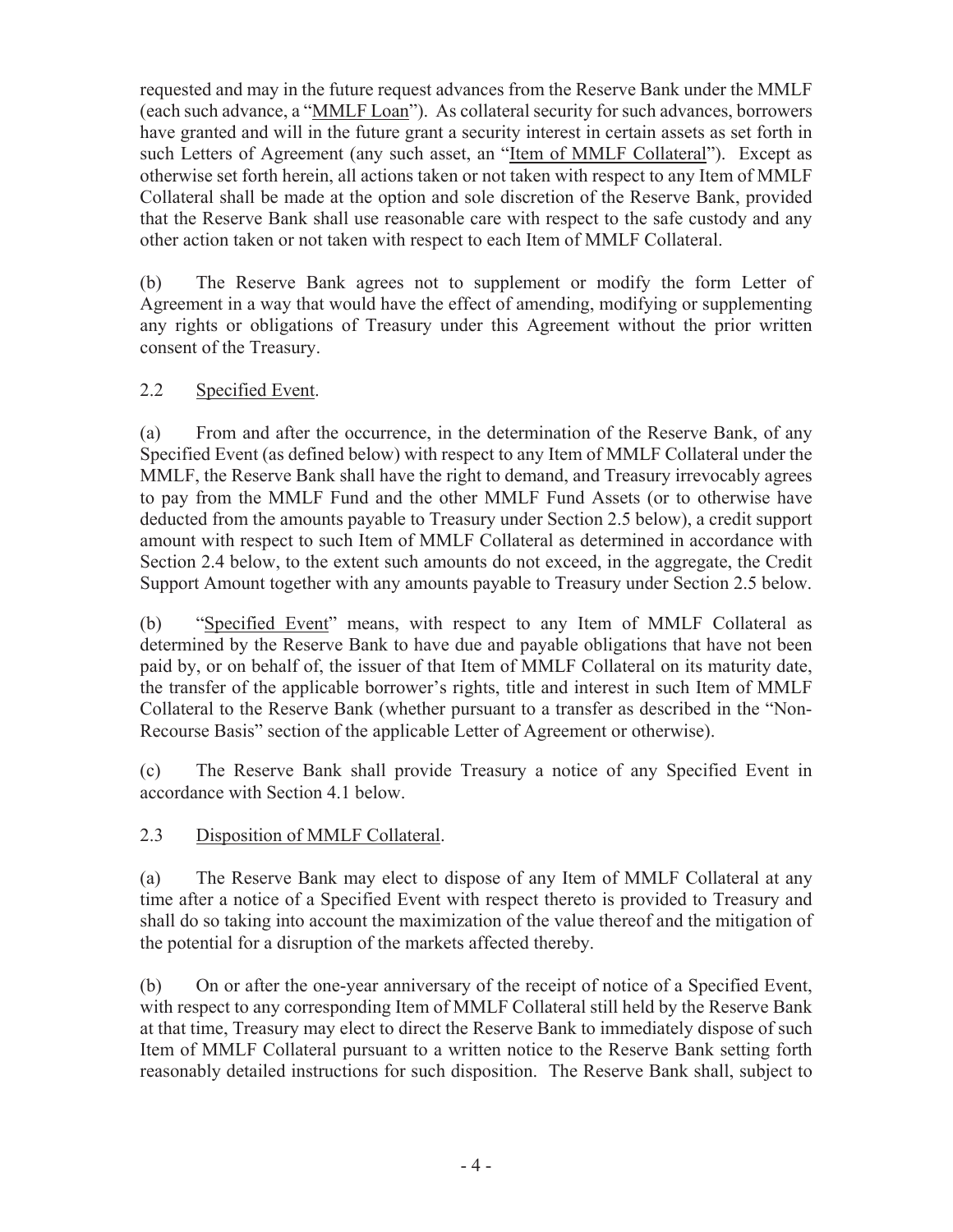requested and may in the future request advances from the Reserve Bank under the MMLF (each such advance, a "MMLF Loan"). As collateral security for such advances, borrowers have granted and will in the future grant a security interest in certain assets as set forth in such Letters of Agreement (any such asset, an "Item of MMLF Collateral"). Except as otherwise set forth herein, all actions taken or not taken with respect to any Item of MMLF Collateral shall be made at the option and sole discretion of the Reserve Bank, provided that the Reserve Bank shall use reasonable care with respect to the safe custody and any other action taken or not taken with respect to each Item of MMLF Collateral.

(b) The Reserve Bank agrees not to supplement or modify the form Letter of Agreement in a way that would have the effect of amending, modifying or supplementing any rights or obligations of Treasury under this Agreement without the prior written consent of the Treasury.

# 2.2 Specified Event.

(a) From and after the occurrence, in the determination of the Reserve Bank, of any Specified Event (as defined below) with respect to any Item of MMLF Collateral under the MMLF, the Reserve Bank shall have the right to demand, and Treasury irrevocably agrees to pay from the MMLF Fund and the other MMLF Fund Assets (or to otherwise have deducted from the amounts payable to Treasury under Section 2.5 below), a credit support amount with respect to such Item of MMLF Collateral as determined in accordance with Section 2.4 below, to the extent such amounts do not exceed, in the aggregate, the Credit Support Amount together with any amounts payable to Treasury under Section 2.5 below.

(b) "Specified Event" means, with respect to any Item of MMLF Collateral as determined by the Reserve Bank to have due and payable obligations that have not been paid by, or on behalf of, the issuer of that Item of MMLF Collateral on its maturity date, the transfer of the applicable borrower's rights, title and interest in such Item of MMLF Collateral to the Reserve Bank (whether pursuant to a transfer as described in the "Non-Recourse Basis" section of the applicable Letter of Agreement or otherwise).

(c) The Reserve Bank shall provide Treasury a notice of any Specified Event in accordance with Section 4.1 below.

# 2.3 Disposition of MMLF Collateral.

(a) The Reserve Bank may elect to dispose of any Item of MMLF Collateral at any time after a notice of a Specified Event with respect thereto is provided to Treasury and shall do so taking into account the maximization of the value thereof and the mitigation of the potential for a disruption of the markets affected thereby.

(b) On or after the one-year anniversary of the receipt of notice of a Specified Event, with respect to any corresponding Item of MMLF Collateral still held by the Reserve Bank at that time, Treasury may elect to direct the Reserve Bank to immediately dispose of such Item of MMLF Collateral pursuant to a written notice to the Reserve Bank setting forth reasonably detailed instructions for such disposition. The Reserve Bank shall, subject to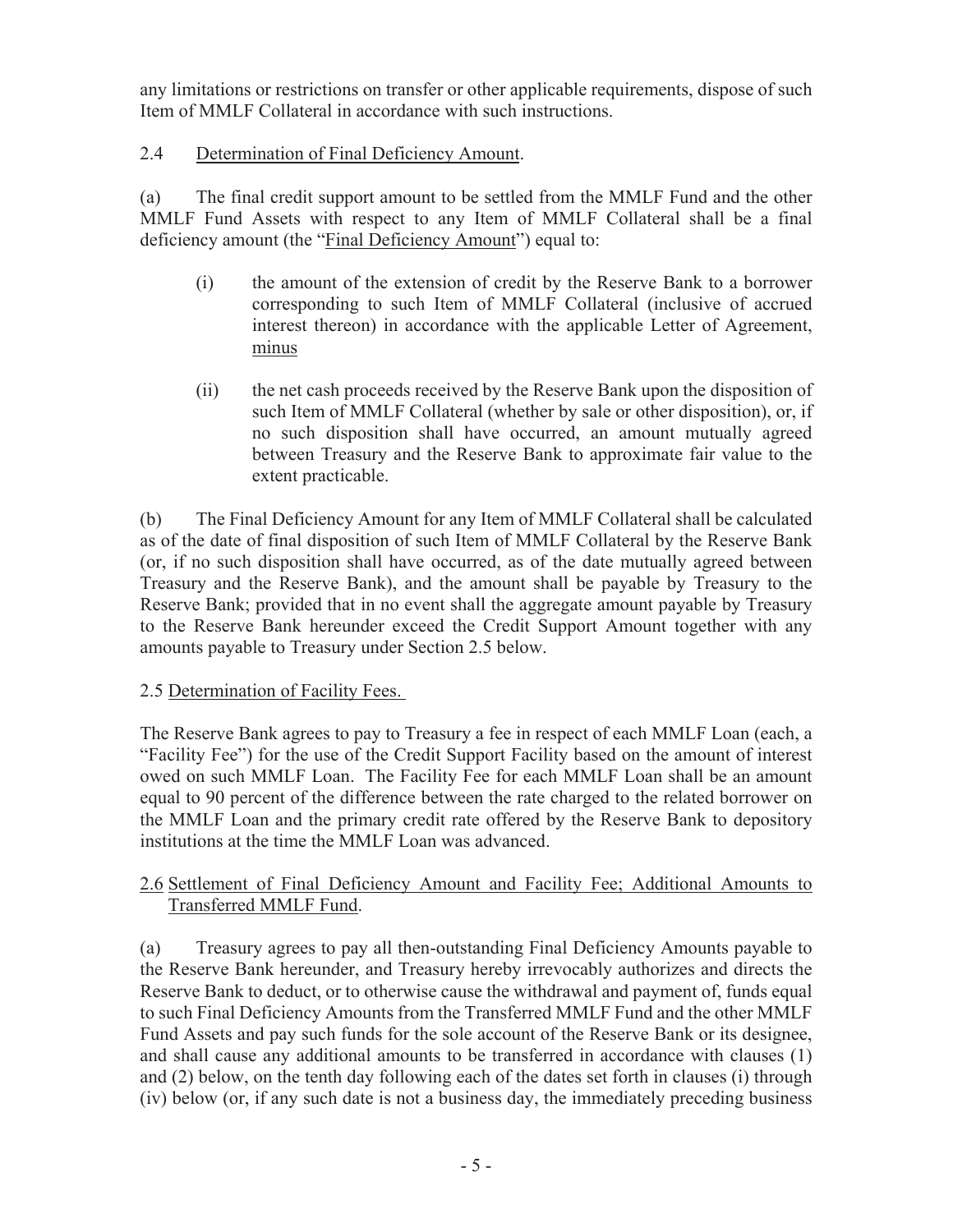any limitations or restrictions on transfer or other applicable requirements, dispose of such Item of MMLF Collateral in accordance with such instructions.

## 2.4 Determination of Final Deficiency Amount.

(a) The final credit support amount to be settled from the MMLF Fund and the other MMLF Fund Assets with respect to any Item of MMLF Collateral shall be a final deficiency amount (the "Final Deficiency Amount") equal to:

- (i) the amount of the extension of credit by the Reserve Bank to a borrower corresponding to such Item of MMLF Collateral (inclusive of accrued interest thereon) in accordance with the applicable Letter of Agreement, minus
- (ii) the net cash proceeds received by the Reserve Bank upon the disposition of such Item of MMLF Collateral (whether by sale or other disposition), or, if no such disposition shall have occurred, an amount mutually agreed between Treasury and the Reserve Bank to approximate fair value to the extent practicable.

(b) The Final Deficiency Amount for any Item of MMLF Collateral shall be calculated as of the date of final disposition of such Item of MMLF Collateral by the Reserve Bank (or, if no such disposition shall have occurred, as of the date mutually agreed between Treasury and the Reserve Bank), and the amount shall be payable by Treasury to the Reserve Bank; provided that in no event shall the aggregate amount payable by Treasury to the Reserve Bank hereunder exceed the Credit Support Amount together with any amounts payable to Treasury under Section 2.5 below.

### 2.5 Determination of Facility Fees.

The Reserve Bank agrees to pay to Treasury a fee in respect of each MMLF Loan (each, a "Facility Fee") for the use of the Credit Support Facility based on the amount of interest owed on such MMLF Loan. The Facility Fee for each MMLF Loan shall be an amount equal to 90 percent of the difference between the rate charged to the related borrower on the MMLF Loan and the primary credit rate offered by the Reserve Bank to depository institutions at the time the MMLF Loan was advanced.

### 2.6 Settlement of Final Deficiency Amount and Facility Fee; Additional Amounts to Transferred MMLF Fund.

(a) Treasury agrees to pay all then-outstanding Final Deficiency Amounts payable to the Reserve Bank hereunder, and Treasury hereby irrevocably authorizes and directs the Reserve Bank to deduct, or to otherwise cause the withdrawal and payment of, funds equal to such Final Deficiency Amounts from the Transferred MMLF Fund and the other MMLF Fund Assets and pay such funds for the sole account of the Reserve Bank or its designee, and shall cause any additional amounts to be transferred in accordance with clauses (1) and (2) below, on the tenth day following each of the dates set forth in clauses (i) through (iv) below (or, if any such date is not a business day, the immediately preceding business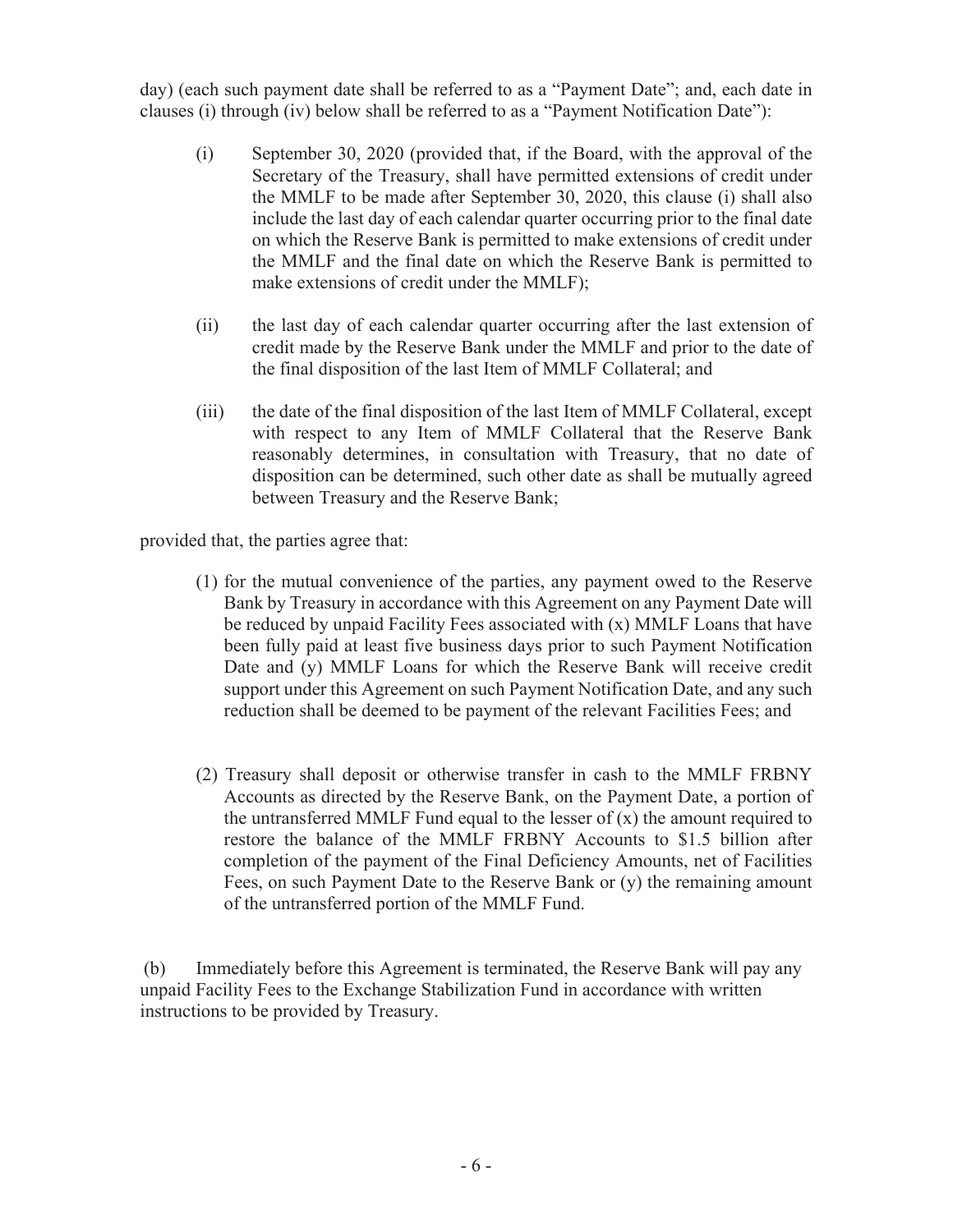day) (each such payment date shall be referred to as a "Payment Date"; and, each date in clauses (i) through (iv) below shall be referred to as a "Payment Notification Date"):

- (i) September 30, 2020 (provided that, if the Board, with the approval of the Secretary of the Treasury, shall have permitted extensions of credit under the MMLF to be made after September 30, 2020, this clause (i) shall also include the last day of each calendar quarter occurring prior to the final date on which the Reserve Bank is permitted to make extensions of credit under the MMLF and the final date on which the Reserve Bank is permitted to make extensions of credit under the MMLF);
- (ii) the last day of each calendar quarter occurring after the last extension of credit made by the Reserve Bank under the MMLF and prior to the date of the final disposition of the last Item of MMLF Collateral; and
- (iii) the date of the final disposition of the last Item of MMLF Collateral, except with respect to any Item of MMLF Collateral that the Reserve Bank reasonably determines, in consultation with Treasury, that no date of disposition can be determined, such other date as shall be mutually agreed between Treasury and the Reserve Bank;

provided that, the parties agree that:

- (1) for the mutual convenience of the parties, any payment owed to the Reserve Bank by Treasury in accordance with this Agreement on any Payment Date will be reduced by unpaid Facility Fees associated with (x) MMLF Loans that have been fully paid at least five business days prior to such Payment Notification Date and (y) MMLF Loans for which the Reserve Bank will receive credit support under this Agreement on such Payment Notification Date, and any such reduction shall be deemed to be payment of the relevant Facilities Fees; and
- (2) Treasury shall deposit or otherwise transfer in cash to the MMLF FRBNY Accounts as directed by the Reserve Bank, on the Payment Date, a portion of the untransferred MMLF Fund equal to the lesser of  $(x)$  the amount required to restore the balance of the MMLF FRBNY Accounts to \$1.5 billion after completion of the payment of the Final Deficiency Amounts, net of Facilities Fees, on such Payment Date to the Reserve Bank or (y) the remaining amount of the untransferred portion of the MMLF Fund.

(b) Immediately before this Agreement is terminated, the Reserve Bank will pay any unpaid Facility Fees to the Exchange Stabilization Fund in accordance with written instructions to be provided by Treasury.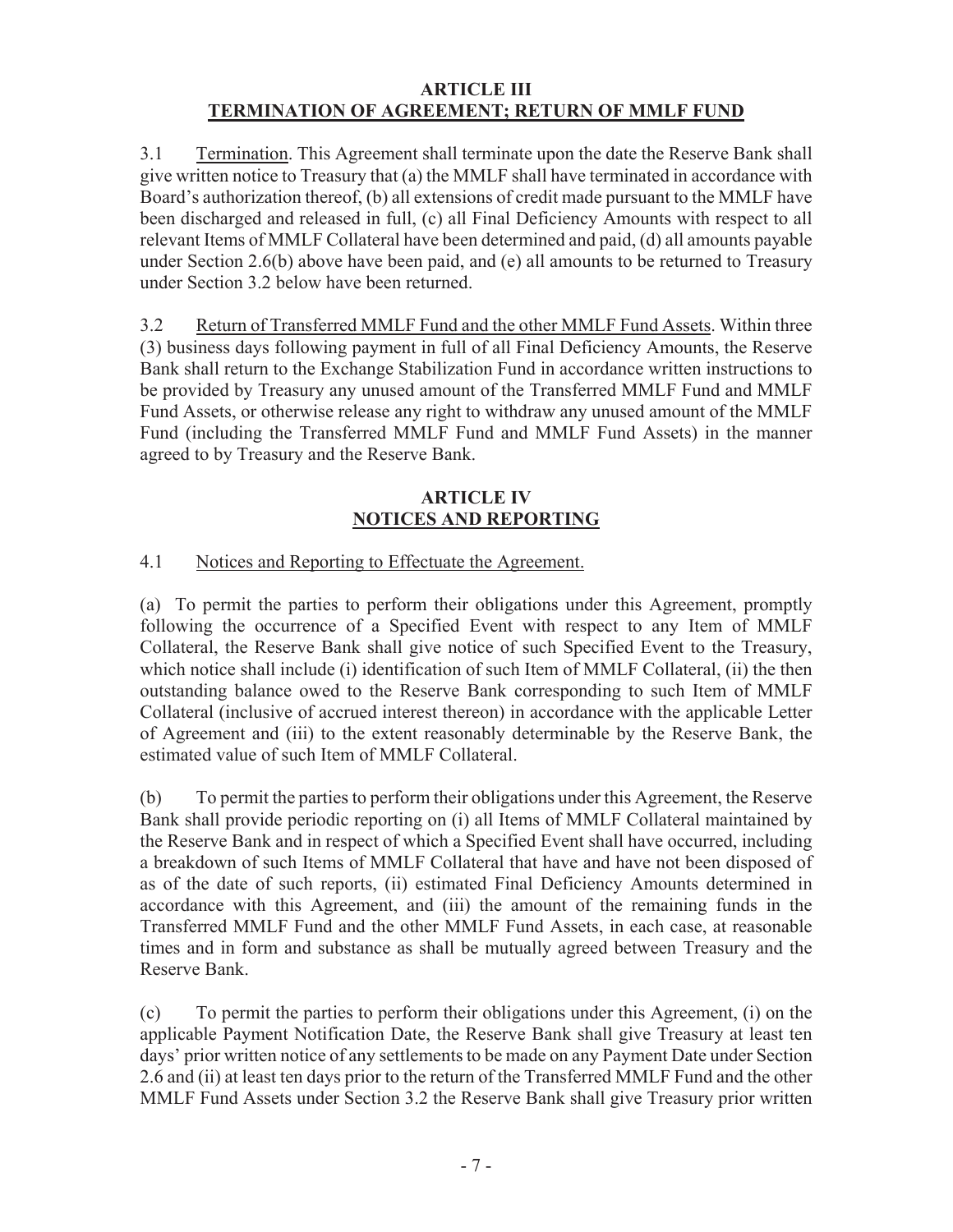### **ARTICLE III TERMINATION OF AGREEMENT; RETURN OF MMLF FUND**

3.1 Termination. This Agreement shall terminate upon the date the Reserve Bank shall give written notice to Treasury that (a) the MMLF shall have terminated in accordance with Board's authorization thereof, (b) all extensions of credit made pursuant to the MMLF have been discharged and released in full, (c) all Final Deficiency Amounts with respect to all relevant Items of MMLF Collateral have been determined and paid, (d) all amounts payable under Section 2.6(b) above have been paid, and (e) all amounts to be returned to Treasury under Section 3.2 below have been returned.

3.2 Return of Transferred MMLF Fund and the other MMLF Fund Assets. Within three (3) business days following payment in full of all Final Deficiency Amounts, the Reserve Bank shall return to the Exchange Stabilization Fund in accordance written instructions to be provided by Treasury any unused amount of the Transferred MMLF Fund and MMLF Fund Assets, or otherwise release any right to withdraw any unused amount of the MMLF Fund (including the Transferred MMLF Fund and MMLF Fund Assets) in the manner agreed to by Treasury and the Reserve Bank.

## **ARTICLE IV NOTICES AND REPORTING**

# 4.1 Notices and Reporting to Effectuate the Agreement.

(a) To permit the parties to perform their obligations under this Agreement, promptly following the occurrence of a Specified Event with respect to any Item of MMLF Collateral, the Reserve Bank shall give notice of such Specified Event to the Treasury, which notice shall include (i) identification of such Item of MMLF Collateral, (ii) the then outstanding balance owed to the Reserve Bank corresponding to such Item of MMLF Collateral (inclusive of accrued interest thereon) in accordance with the applicable Letter of Agreement and (iii) to the extent reasonably determinable by the Reserve Bank, the estimated value of such Item of MMLF Collateral.

(b) To permit the parties to perform their obligations under this Agreement, the Reserve Bank shall provide periodic reporting on (i) all Items of MMLF Collateral maintained by the Reserve Bank and in respect of which a Specified Event shall have occurred, including a breakdown of such Items of MMLF Collateral that have and have not been disposed of as of the date of such reports, (ii) estimated Final Deficiency Amounts determined in accordance with this Agreement, and (iii) the amount of the remaining funds in the Transferred MMLF Fund and the other MMLF Fund Assets, in each case, at reasonable times and in form and substance as shall be mutually agreed between Treasury and the Reserve Bank.

(c) To permit the parties to perform their obligations under this Agreement, (i) on the applicable Payment Notification Date, the Reserve Bank shall give Treasury at least ten days' prior written notice of any settlements to be made on any Payment Date under Section 2.6 and (ii) at least ten days prior to the return of the Transferred MMLF Fund and the other MMLF Fund Assets under Section 3.2 the Reserve Bank shall give Treasury prior written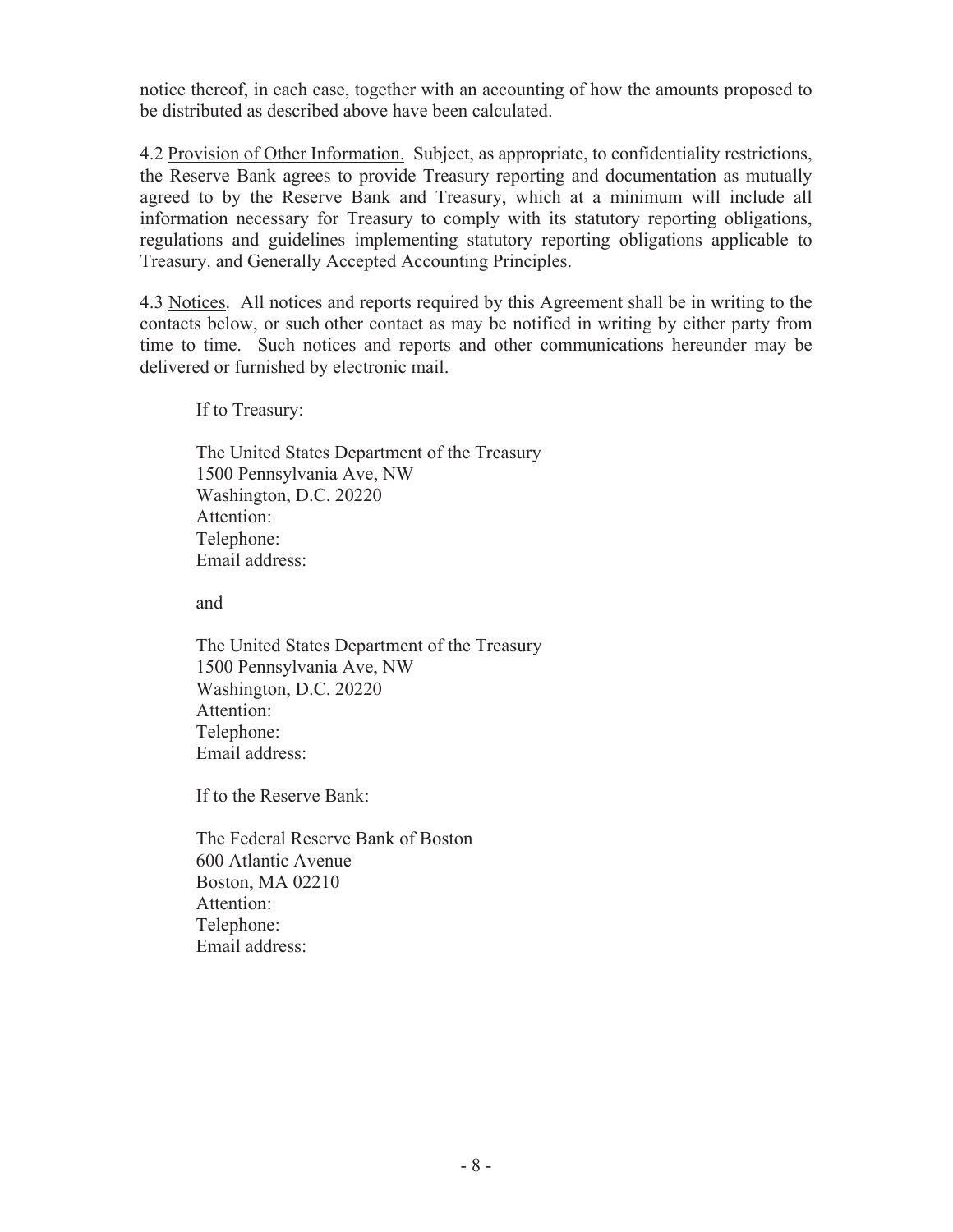notice thereof, in each case, together with an accounting of how the amounts proposed to be distributed as described above have been calculated.

4.2 Provision of Other Information. Subject, as appropriate, to confidentiality restrictions, the Reserve Bank agrees to provide Treasury reporting and documentation as mutually agreed to by the Reserve Bank and Treasury, which at a minimum will include all information necessary for Treasury to comply with its statutory reporting obligations, regulations and guidelines implementing statutory reporting obligations applicable to Treasury, and Generally Accepted Accounting Principles.

4.3 Notices. All notices and reports required by this Agreement shall be in writing to the contacts below, or such other contact as may be notified in writing by either party from time to time. Such notices and reports and other communications hereunder may be delivered or furnished by electronic mail.

If to Treasury:

The United States Department of the Treasury 1500 Pennsylvania Ave, NW Washington, D.C. 20220 Attention: Telephone: Email address:

and

The United States Department of the Treasury 1500 Pennsylvania Ave, NW Washington, D.C. 20220 Attention: Telephone: Email address:

If to the Reserve Bank:

The Federal Reserve Bank of Boston 600 Atlantic Avenue Boston, MA 02210 Attention: Telephone: Email address: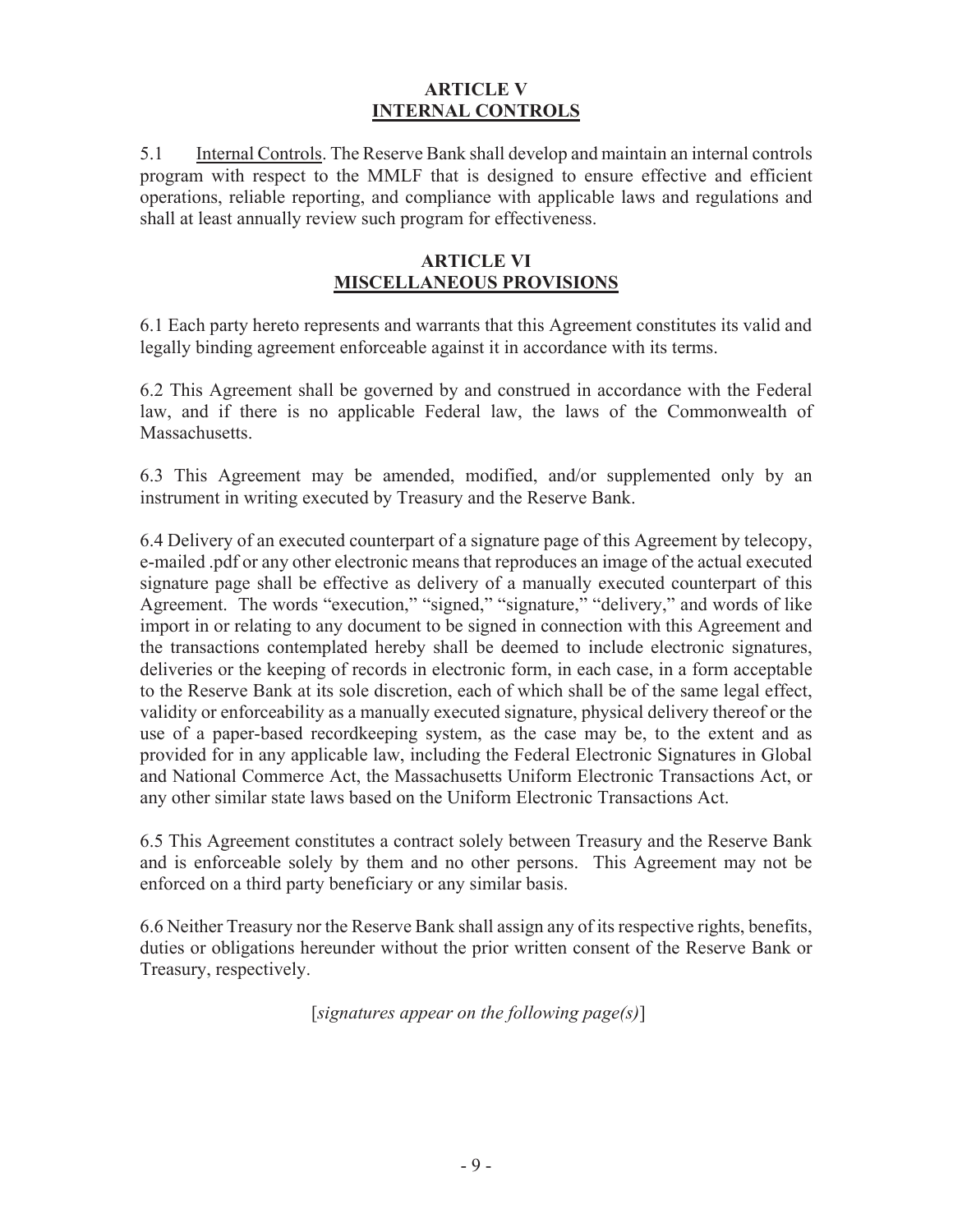### **ARTICLE V INTERNAL CONTROLS**

5.1 Internal Controls. The Reserve Bank shall develop and maintain an internal controls program with respect to the MMLF that is designed to ensure effective and efficient operations, reliable reporting, and compliance with applicable laws and regulations and shall at least annually review such program for effectiveness.

#### **ARTICLE VI MISCELLANEOUS PROVISIONS**

6.1 Each party hereto represents and warrants that this Agreement constitutes its valid and legally binding agreement enforceable against it in accordance with its terms.

6.2 This Agreement shall be governed by and construed in accordance with the Federal law, and if there is no applicable Federal law, the laws of the Commonwealth of Massachusetts.

6.3 This Agreement may be amended, modified, and/or supplemented only by an instrument in writing executed by Treasury and the Reserve Bank.

6.4 Delivery of an executed counterpart of a signature page of this Agreement by telecopy, e-mailed .pdf or any other electronic means that reproduces an image of the actual executed signature page shall be effective as delivery of a manually executed counterpart of this Agreement. The words "execution," "signed," "signature," "delivery," and words of like import in or relating to any document to be signed in connection with this Agreement and the transactions contemplated hereby shall be deemed to include electronic signatures, deliveries or the keeping of records in electronic form, in each case, in a form acceptable to the Reserve Bank at its sole discretion, each of which shall be of the same legal effect, validity or enforceability as a manually executed signature, physical delivery thereof or the use of a paper-based recordkeeping system, as the case may be, to the extent and as provided for in any applicable law, including the Federal Electronic Signatures in Global and National Commerce Act, the Massachusetts Uniform Electronic Transactions Act, or any other similar state laws based on the Uniform Electronic Transactions Act.

6.5 This Agreement constitutes a contract solely between Treasury and the Reserve Bank and is enforceable solely by them and no other persons. This Agreement may not be enforced on a third party beneficiary or any similar basis.

6.6 Neither Treasury nor the Reserve Bank shall assign any of its respective rights, benefits, duties or obligations hereunder without the prior written consent of the Reserve Bank or Treasury, respectively.

[*signatures appear on the following page(s)*]